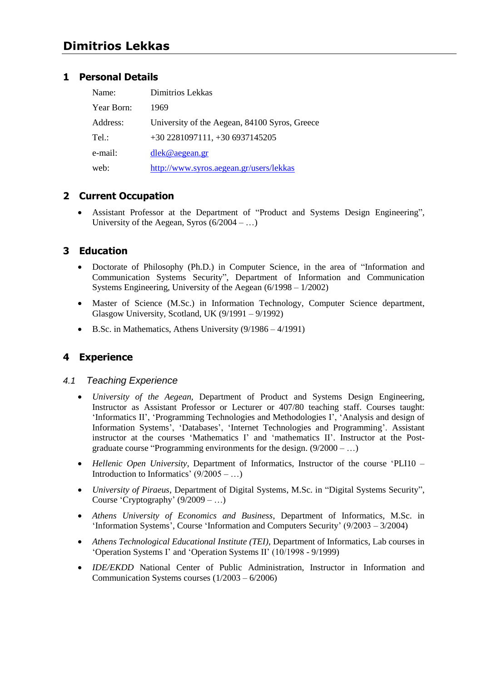# **Dimitrios Lekkas**

### **1 Personal Details**

| Name:      | Dimitrios Lekkas                              |
|------------|-----------------------------------------------|
| Year Born: | 1969                                          |
| Address:   | University of the Aegean, 84100 Syros, Greece |
| Tel:       | $+30$ 2281097111, $+30$ 6937145205            |
| e-mail:    | dlek@aegean.gr                                |
| web:       | http://www.syros.aegean.gr/users/lekkas       |

## **2 Current Occupation**

Assistant Professor at the Department of "Product and Systems Design Engineering", University of the Aegean, Syros  $(6/2004 - ...)$ 

## **3 Education**

- Doctorate of Philosophy (Ph.D.) in Computer Science, in the area of "Information and Communication Systems Security", Department of Information and Communication Systems Engineering, University of the Aegean (6/1998 – 1/2002)
- Master of Science (M.Sc.) in Information Technology, Computer Science department, Glasgow University, Scotland, UK (9/1991 – 9/1992)
- $\bullet$  B.Sc. in Mathematics, Athens University (9/1986 4/1991)

## **4 Experience**

### *4.1 Teaching Experience*

- *University of the Aegean,* Department of Product and Systems Design Engineering, Instructor as Assistant Professor or Lecturer or 407/80 teaching staff. Courses taught: 'Informatics II', 'Programming Technologies and Methodologies I', 'Analysis and design of Information Systems', 'Databases', 'Internet Technologies and Programming'. Assistant instructor at the courses 'Mathematics I' and 'mathematics II'. Instructor at the Postgraduate course "Programming environments for the design.  $(9/2000 - ...)$
- Hellenic Open University, Department of Informatics, Instructor of the course 'PLI10 Introduction to Informatics'  $(9/2005 - ...)$
- *University of Piraeus, Department of Digital Systems, M.Sc. in "Digital Systems Security",* Course 'Cryptography'  $(9/2009 - ...)$
- *Athens University of Economics and Business*, Department of Informatics, M.Sc. in 'Information Systems', Course 'Information and Computers Security'  $(9/2003 - 3/2004)$
- *Athens Technological Educational Institute (TEI)*, Department of Informatics, Lab courses in ‗Operation Systems I' and ‗Operation Systems II' (10/1998 - 9/1999)
- *IDE/EKDD* National Center of Public Administration, Instructor in Information and Communication Systems courses (1/2003 – 6/2006)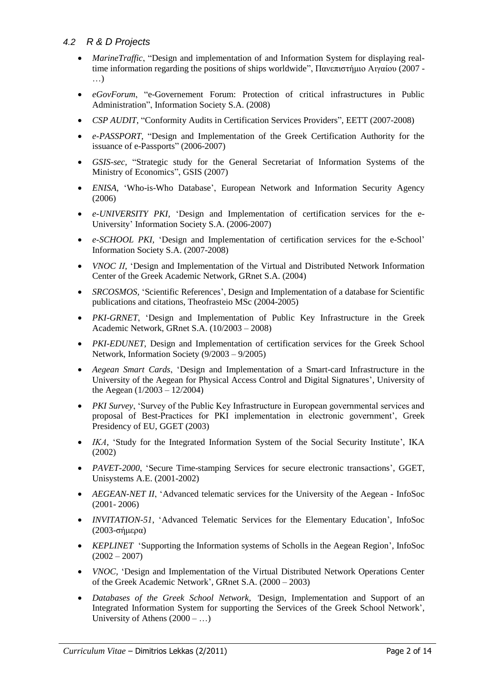### *4.2 R & D Projects*

- *MarineTraffic*, "Design and implementation of and Information System for displaying realtime information regarding the positions of ships worldwide", Πανεπιστήμιο Αιγαίου (2007 -…)
- *eGovForum*, "e-Governement Forum: Protection of critical infrastructures in Public Administration", Information Society S.A. (2008)
- *CSP AUDIT*, "Conformity Audits in Certification Services Providers", EETT (2007-2008)
- *e-PASSPORT*, "Design and Implementation of the Greek Certification Authority for the issuance of e-Passports" (2006-2007)
- *GSIS-sec*, "Strategic study for the General Secretariat of Information Systems of the Ministry of Economics", GSIS (2007)
- *ENISA,* ‗Who-is-Who Database', European Network and Information Security Agency (2006)
- *e-UNIVERSITY PKI,* ‗Design and Implementation of certification services for the e-University' Information Society S.A. (2006-2007)
- *e-SCHOOL PKI,* ‗Design and Implementation of certification services for the e-School' Information Society S.A. (2007-2008)
- *VNOC ΙΙ,* ‗Design and Implementation of the Virtual and Distributed Network Information Center of the Greek Academic Network, GRnet S.A. (2004)
- *SRCOSMOS,* 'Scientific References', Design and Implementation of a database for Scientific publications and citations, Theofrasteio MSc (2004-2005)
- *PKI-GRNET*, 'Design and Implementation of Public Key Infrastructure in the Greek Academic Network, GRnet S.A. (10/2003 – 2008)
- *PKI-EDUNET*, Design and Implementation of certification services for the Greek School Network, Information Society (9/2003 – 9/2005)
- *Aegean Smart Cards*, ‗Design and Implementation of a Smart-card Infrastructure in the University of the Aegean for Physical Access Control and Digital Signatures', University of the Aegean (1/2003 – 12/2004)
- *PKI Survey*, 'Survey of the Public Key Infrastructure in European governmental services and proposal of Best-Practices for PKI implementation in electronic government', Greek Presidency of EU, GGET (2003)
- *ΙΚΑ,* ‗Study for the Integrated Information System of the Social Security Institute', ΙΚΑ (2002)
- PAVET-2000, 'Secure Time-stamping Services for secure electronic transactions', GGET, Unisystems A.E. (2001-2002)
- *AEGEAN-NET II*, 'Advanced telematic services for the University of the Aegean InfoSoc (2001- 2006)
- *INVITATION-51*, 'Advanced Telematic Services for the Elementary Education', InfoSoc (2003-σήμερα)
- *KEPLINET* 'Supporting the Information systems of Scholls in the Aegean Region', InfoSoc  $(2002 - 2007)$
- *VNOC*, 'Design and Implementation of the Virtual Distributed Network Operations Center of the Greek Academic Network', GRnet S.A. (2000 – 2003)
- *Databases of the Greek School Network, "*Design, Implementation and Support of an Integrated Information System for supporting the Services of the Greek School Network', University of Athens  $(2000 - ...)$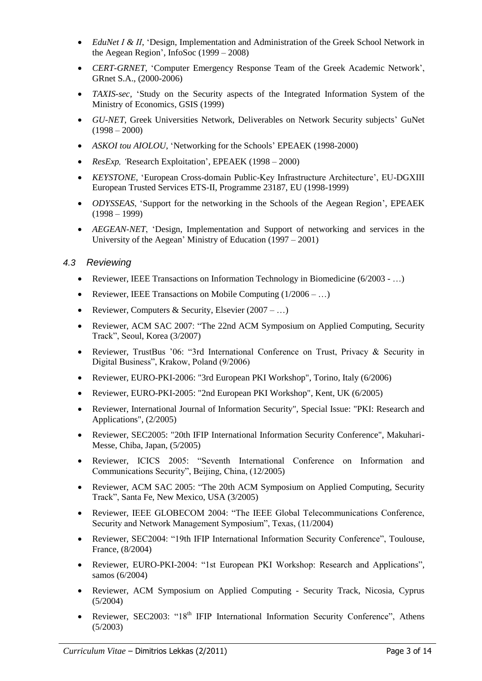- *EduNet Ι & ΙΙ*, ‗Design, Implementation and Administration of the Greek School Network in the Aegean Region', InfoSoc (1999 – 2008)
- *CERT-GRNET*, ‗Computer Emergency Response Team of the Greek Academic Network', GRnet S.A., (2000-2006)
- *TAXIS-sec,* 'Study on the Security aspects of the Integrated Information System of the Ministry of Economics, GSIS (1999)
- *GU-NET*, Greek Universities Network, Deliverables on Network Security subjects' GuNet  $(1998 - 2000)$
- ASKOI *tou AIOLOU*, 'Networking for the Schools' EPEAEK (1998-2000)
- *ResExp*, 'Research Exploitation', EPEAEK (1998 2000)
- *KEYSTONE,* ‗European Cross-domain Public-Key Infrastructure Architecture', EU-DGXIII European Trusted Services ETS-II, Programme 23187, EU (1998-1999)
- *ODYSSEAS*, 'Support for the networking in the Schools of the Aegean Region', EPEAEK (1998 – 1999)
- *AEGEAN-NET*, 'Design, Implementation and Support of networking and services in the University of the Aegean' Ministry of Education (1997 – 2001)

### *4.3 Reviewing*

- Reviewer, IEEE Transactions on Information Technology in Biomedicine (6/2003 …)
- Reviewer, IEEE Transactions on Mobile Computing  $(1/2006 ...)$
- Reviewer, Computers & Security, Elsevier  $(2007 ...)$
- Reviewer, ACM SAC 2007: "The 22nd ACM Symposium on Applied Computing, Security Track‖, Seoul, Korea (3/2007)
- Reviewer, TrustBus '06: "3rd International Conference on Trust, Privacy & Security in Digital Business", Krakow, Poland (9/2006)
- Reviewer, EURO-PKI-2006: "3rd European PKI Workshop", Torino, Italy (6/2006)
- Reviewer, EURO-PKI-2005: "2nd European PKI Workshop", Kent, UK (6/2005)
- Reviewer, International Journal of Information Security", Special Issue: "PKI: Research and Applications", (2/2005)
- Reviewer, SEC2005: "20th IFIP International Information Security Conference", Makuhari-Messe, Chiba, Japan, (5/2005)
- Reviewer, ICICS 2005: "Seventh International Conference on Information and Communications Security", Beijing, China, (12/2005)
- Reviewer, ACM SAC 2005: "The 20th ACM Symposium on Applied Computing, Security Track‖, Santa Fe, New Mexico, USA (3/2005)
- Reviewer, IEEE GLOBECOM 2004: "The IEEE Global Telecommunications Conference, Security and Network Management Symposium", Texas, (11/2004)
- Reviewer, SEC2004: "19th IFIP International Information Security Conference", Toulouse, France, (8/2004)
- Reviewer, EURO-PKI-2004: "1st European PKI Workshop: Research and Applications", samos (6/2004)
- Reviewer, ACM Symposium on Applied Computing Security Track, Nicosia, Cyprus (5/2004)
- Reviewer, SEC2003: "18<sup>th</sup> IFIP International Information Security Conference", Athens (5/2003)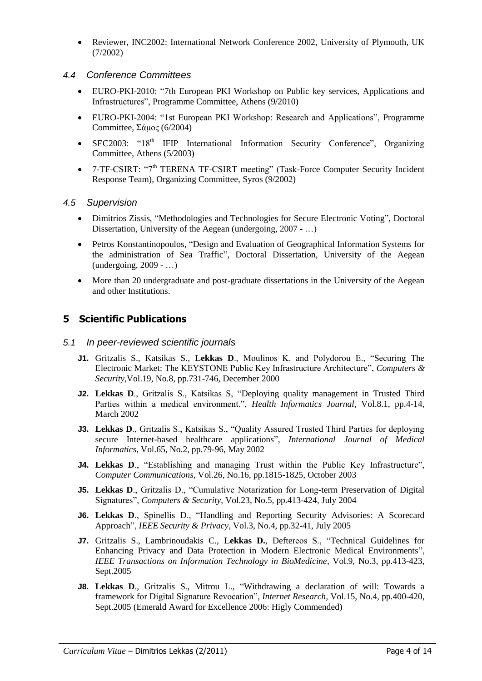Reviewer, INC2002: International Network Conference 2002, University of Plymouth, UK (7/2002)

### *4.4 Conference Committees*

- EURO-PKI-2010: "7th European PKI Workshop on Public key services, Applications and Infrastructures‖, Programme Committee, Athens (9/2010)
- EURO-PKI-2004: "1st European PKI Workshop: Research and Applications", Programme Committee,  $\Sigma \alpha \mu$ oc (6/2004)
- SEC2003: "18th IFIP International Information Security Conference", Organizing Committee, Athens (5/2003)
- 7-TF-CSIRT: "7<sup>th</sup> TERENA TF-CSIRT meeting" (Task-Force Computer Security Incident Response Team), Organizing Committee, Syros (9/2002)

### *4.5 Supervision*

- Dimitrios Zissis, "Methodologies and Technologies for Secure Electronic Voting", Doctoral Dissertation, University of the Aegean (undergoing, 2007 - ...)
- Petros Konstantinopoulos, "Design and Evaluation of Geographical Information Systems for the administration of Sea Traffic", Doctoral Dissertation, University of the Aegean (undergoing, 2009 - …)
- More than 20 undergraduate and post-graduate dissertations in the University of the Aegean and other Institutions.

## **5 Scientific Publications**

#### *5.1 In peer-reviewed scientific journals*

- **J1.** Gritzalis S., Katsikas S., Lekkas D., Moulinos K. and Polydorou E., "Securing The Electronic Market: The KEYSTONE Public Key Infrastructure Architecture", *Computers & Security*,Vol.19, No.8, pp.731-746, December 2000
- **J2. Lekkas D.**, Gritzalis S., Katsikas S, "Deploying quality management in Trusted Third Parties within a medical environment.", *Health Informatics Journal*, Vol.8.1, pp.4-14, March 2002
- **J3. Lekkas D., Gritzalis S., Katsikas S., "Quality Assured Trusted Third Parties for deploying** secure Internet-based healthcare applications", *International Journal of Medical Informatics*, Vol.65, No.2, pp.79-96, May 2002
- **J4. Lekkas D., "Establishing and managing Trust within the Public Key Infrastructure",** *Computer Communications*, Vol.26, No.16, pp.1815-1825, October 2003
- **J5. Lekkas D., Gritzalis D., "Cumulative Notarization for Long-term Preservation of Digital** Signatures‖, *Computers & Security*, Vol.23, No.5, pp.413-424, July 2004
- **J6. Lekkas D., Spinellis D., "Handling and Reporting Security Advisories: A Scorecard** Approach‖, *IEEE Security & Privacy*, Vol.3, No.4, pp.32-41, July 2005
- J7. Gritzalis S., Lambrinoudakis C., Lekkas D., Deftereos S., "Technical Guidelines for Enhancing Privacy and Data Protection in Modern Electronic Medical Environments", *IEEE Transactions on Information Technology in BioMedicine*, Vol.9, No.3, pp.413-423, Sept.2005
- **J8. Lekkas D., Gritzalis S., Mitrou L., "Withdrawing a declaration of will: Towards a** framework for Digital Signature Revocation", *Internet Research*, Vol.15, No.4, pp.400-420, Sept.2005 (Emerald Award for Excellence 2006: Higly Commended)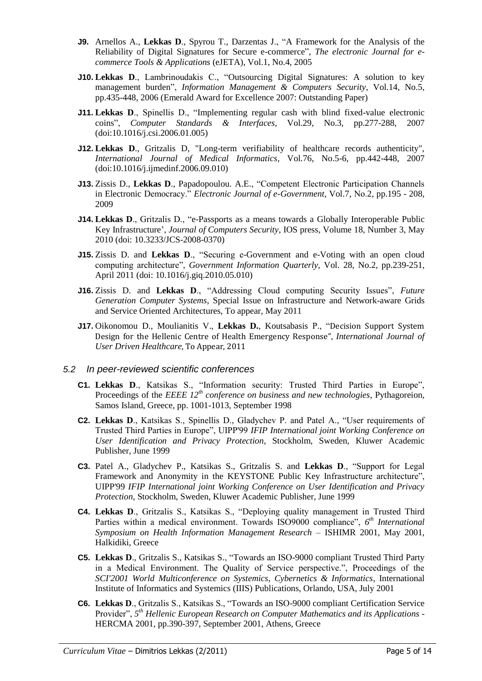- **J9.** Arnellos A., Lekkas D., Spyrou T., Darzentas J., "A Framework for the Analysis of the Reliability of Digital Signatures for Secure e-commerce", *The electronic Journal for ecommerce Tools & Applications* (eJETA), Vol.1, No.4, 2005
- **J10. Lekkas D., Lambrinoudakis C., "Outsourcing Digital Signatures: A solution to key** management burden", *Information Management & Computers Security*, Vol.14, No.5, pp.435-448, 2006 (Emerald Award for Excellence 2007: Outstanding Paper)
- **J11. Lekkas D., Spinellis D., "Implementing regular cash with blind fixed-value electronic** coins‖, *Computer Standards & Interfaces*, Vol.29, No.3, pp.277-288, 2007 (doi:10.1016/j.csi.2006.01.005)
- **J12. Lekkas D.**, Gritzalis D. "Long-term verifiability of healthcare records authenticity", *International Journal of Medical Informatics*, Vol.76, No.5-6, pp.442-448, 2007 (doi:10.1016/j.ijmedinf.2006.09.010)
- **J13.** Zissis D., Lekkas D., Papadopoulou. A.E., "Competent Electronic Participation Channels in Electronic Democracy." *Electronic Journal of e-Government*, Vol.7, No.2, pp.195 - 208, 2009
- **J14. Lekkas D., Gritzalis D., "e-Passports as a means towards a Globally Interoperable Public** Key Infrastructure', *Journal of Computers Security*, IOS press, Volume 18, Number 3, May 2010 (doi: 10.3233/JCS-2008-0370)
- **J15.** Zissis D. and Lekkas D., "Securing e-Government and e-Voting with an open cloud computing architecture", *Government Information Quarterly*, Vol. 28, No.2, pp.239-251, April 2011 (doi: 10.1016/j.giq.2010.05.010)
- **J16.** Zissis D. and Lekkas D., "Addressing Cloud computing Security Issues", Future *Generation Computer Systems*, Special Issue on Infrastructure and Network-aware Grids and Service Oriented Architectures, To appear, May 2011
- **J17.** Oikonomou D., Moulianitis V., Lekkas D., Koutsabasis P., "Decision Support System Design for the Hellenic Centre of Health Emergency Response", *International Journal of User Driven Healthcare*, To Appear, 2011

#### *5.2 In peer-reviewed scientific conferences*

- **C1. Lekkas D., Katsikas S., "Information security: Trusted Third Parties in Europe",** Proceedings of the *EEEE 12th conference on business and new technologies*, Pythagoreion, Samos Island, Greece, pp. 1001-1013, September 1998
- **C2. Lekkas D., Katsikas S., Spinellis D., Gladychev P. and Patel A., "User requirements of** Trusted Third Parties in Europe", UIPP'99 *IFIP International joint Working Conference on User Identification and Privacy Protection*, Stockholm, Sweden, Kluwer Academic Publisher, June 1999
- **C3.** Patel A., Gladychev P., Katsikas S., Gritzalis S. and Lekkas D., "Support for Legal Framework and Anonymity in the KEYSTONE Public Key Infrastructure architecture". UIPP'99 *IFIP International joint Working Conference on User Identification and Privacy Protection*, Stockholm, Sweden, Kluwer Academic Publisher, June 1999
- **C4. Lekkas D., Gritzalis S., Katsikas S., "Deploying quality management in Trusted Third** Parties within a medical environment. Towards ISO9000 compliance", 6<sup>th</sup> International *Symposium on Health Information Management Research* – ISHIMR 2001, May 2001, Halkidiki, Greece
- **C5. Lekkas D., Gritzalis S., Katsikas S., "Towards an ISO-9000 compliant Trusted Third Party** in a Medical Environment. The Quality of Service perspective.", Proceedings of the *SCI'2001 World Multiconference on Systemics, Cybernetics & Informatics*, International Institute of Informatics and Systemics (IIIS) Publications, Orlando, USA, July 2001
- **C6. Lekkas D., Gritzalis S., Katsikas S., "Towards an ISO-9000 compliant Certification Service** Provider", 5<sup>th</sup> Hellenic European Research on Computer Mathematics and its Applications -HERCMA 2001, pp.390-397, September 2001, Athens, Greece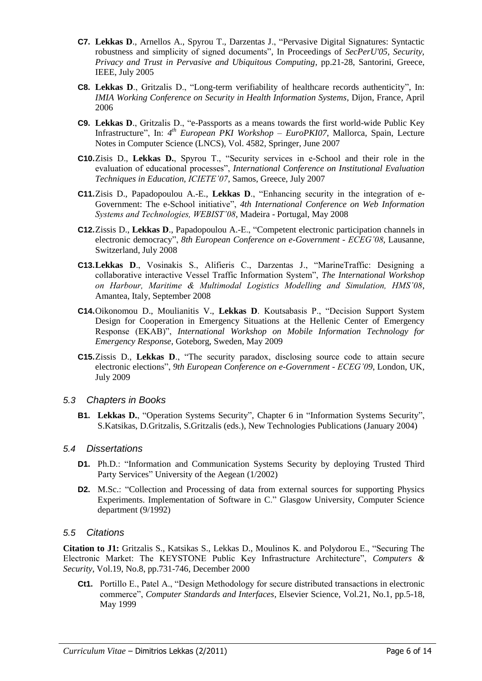- **C7. Lekkas D., Arnellos A., Spyrou T., Darzentas J., "Pervasive Digital Signatures: Syntactic** robustness and simplicity of signed documents", In Proceedings of *SecPerU'05, Security*, *Privacy and Trust in Pervasive and Ubiquitous Computing*, pp.21-28, Santorini, Greece, IEEE, July 2005
- **C8. Lekkas D., Gritzalis D., "Long-term verifiability of healthcare records authenticity", In:** *IMIA Working Conference on Security in Health Information Systems*, Dijon, France, April 2006
- **C9.** Lekkas D., Gritzalis D., "e-Passports as a means towards the first world-wide Public Key Infrastructure", In: 4<sup>th</sup> *European PKI Workshop – EuroPKI07*, Mallorca, Spain, Lecture Notes in Computer Science (LNCS), Vol. 4582, Springer, June 2007
- **C10.**Zisis D., Lekkas D., Spyrou T., "Security services in e-School and their role in the evaluation of educational processes", *International Conference on Institutional Evaluation Techniques in Education, ICIETE"07*, Samos, Greece, July 2007
- **C11.**Zisis D., Papadopoulou A.-E., Lekkas D., "Enhancing security in the integration of e-Government: The e-School initiative", 4th International Conference on Web Information *Systems and Technologies, WEBIST"08*, Madeira - Portugal, May 2008
- **C12.**Zissis D., Lekkas D., Papadopoulou A.-E., "Competent electronic participation channels in electronic democracy‖, *8th European Conference on e-Government - ECEG"08*, Lausanne, Switzerland, July 2008
- **C13.Lekkas D.**, Vosinakis S., Alifieris C., Darzentas J., "MarineTraffic: Designing a collaborative interactive Vessel Traffic Information System", *The International Workshop on Harbour, Maritime & Multimodal Logistics Modelling and Simulation, HMS"08*, Amantea, Italy, September 2008
- **C14.**Oikonomou D., Moulianitis V., Lekkas D. Koutsabasis P., "Decision Support System Design for Cooperation in Emergency Situations at the Hellenic Center of Emergency Response (EKAB)", *International Workshop on Mobile Information Technology for Emergency Response*, Goteborg, Sweden, May 2009
- **C15.**Zissis D., Lekkas D., "The security paradox, disclosing source code to attain secure electronic elections", 9th European Conference on e-Government -  $ECEG'09$ , London, UK, July 2009

#### *5.3 Chapters in Books*

**B1. Lekkas D., "Operation Systems Security", Chapter 6 in "Information Systems Security",** S.Katsikas, D.Gritzalis, S.Gritzalis (eds.), New Technologies Publications (January 2004)

#### *5.4 Dissertations*

- **D1.** Ph.D.: "Information and Communication Systems Security by deploying Trusted Third Party Services" University of the Aegean (1/2002)
- **D2.** M.Sc.: "Collection and Processing of data from external sources for supporting Physics Experiments. Implementation of Software in C." Glasgow University, Computer Science department (9/1992)

#### *5.5 Citations*

**Citation to J1:** Gritzalis S., Katsikas S., Lekkas D., Moulinos K. and Polydorou E., "Securing The Electronic Market: The KEYSTONE Public Key Infrastructure Architecture", *Computers & Security*, Vol.19, No.8, pp.731-746, December 2000

**Ct1.** Portillo E., Patel A., "Design Methodology for secure distributed transactions in electronic commerce", *Computer Standards and Interfaces*, Elsevier Science, Vol.21, No.1, pp.5-18, May 1999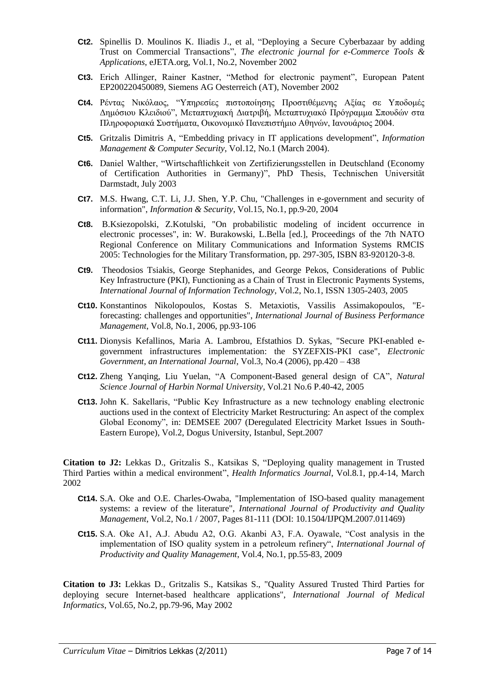- **Ct2.** Spinellis D. Moulinos K. Iliadis J., et al, "Deploying a Secure Cyberbazaar by adding Trust on Commercial Transactions‖, *The electronic journal for e-Commerce Tools & Applications*, eJETA.org, Vol.1, No.2, November 2002
- Ct3. Erich Allinger, Rainer Kastner, "Method for electronic payment", European Patent EP200220450089, Siemens AG Oesterreich (AT), November 2002
- **Ct4.** Ρέντας Νικόλαος, "Υπηρεσίες πιστοποίησης Προστιθέμενης Αξίας σε Υποδομές Δημόσιου Κλειδιού", Μεταπτυχιακή Διατριβή, Μεταπτυχιακό Πρόγραμμα Σπουδών στα Πληροφοριακά Συστήματα, Οικονομικό Πανεπιστήμιο Αθηνών, Ιανουάριος 2004.
- **Ct5.** Gritzalis Dimitris A, "Embedding privacy in IT applications development", *Information Management & Computer Security*, Vol.12, No.1 (March 2004).
- Ct6. Daniel Walther, "Wirtschaftlichkeit von Zertifizierungsstellen in Deutschland (Economy of Certification Authorities in Germany)", PhD Thesis, Technischen Universität Darmstadt, July 2003
- **Ct7.** M.S. Hwang, C.T. Li, J.J. Shen, Y.P. Chu, "Challenges in e-government and security of information", *Information & Security*, Vol.15, No.1, pp.9-20, 2004
- **Ct8.** B.Ksiezopolski, Z.Kotulski, "On probabilistic modeling of incident occurrence in electronic processes", in: W. Burakowski, L.Bella [ed.], Proceedings of the 7th NATO Regional Conference on Military Communications and Information Systems RMCIS 2005: Technologies for the Military Transformation, pp. 297-305, ISBN 83-920120-3-8.
- **Ct9.** Theodosios Tsiakis, George Stephanides, and George Pekos, Considerations of Public Key Infrastructure (PKI), Functioning as a Chain of Trust in Electronic Payments Systems, *International Journal of Information Technology*, Vol.2, No.1, ISSN 1305-2403, 2005
- **Ct10.** Konstantinos Nikolopoulos, Kostas S. Metaxiotis, Vassilis Assimakopoulos, "Eforecasting: challenges and opportunities", *International Journal of Business Performance Management*, Vol.8, No.1, 2006, pp.93-106
- **Ct11.** Dionysis Kefallinos, Maria A. Lambrou, Efstathios D. Sykas, "Secure PKI-enabled egovernment infrastructures implementation: the SYZEFXIS-PKI case", *Electronic Government, an International Journal*, Vol.3, No.4 (2006), pp.420 – 438
- **Ct12.** Zheng Yanqing, Liu Yuelan, "A Component-Based general design of CA", *Natural Science Journal of Harbin Normal University*, Vol.21 No.6 P.40-42, 2005
- **Ct13.** John K. Sakellaris, "Public Key Infrastructure as a new technology enabling electronic auctions used in the context of Electricity Market Restructuring: An aspect of the complex Global Economy", in: DEMSEE 2007 (Deregulated Electricity Market Issues in South-Eastern Europe), Vol.2, Dogus University, Istanbul, Sept.2007

**Citation to J2:** Lekkas D., Gritzalis S., Katsikas S, "Deploying quality management in Trusted Third Parties within a medical environment", *Health Informatics Journal*, Vol.8.1, pp.4-14, March 2002

- **Ct14.** S.A. Oke and O.E. Charles-Owaba, "Implementation of ISO-based quality management systems: a review of the literature", *International Journal of Productivity and Quality Management*, Vol.2, No.1 / 2007, Pages 81-111 (DOI: 10.1504/IJPQM.2007.011469)
- **Ct15.** S.A. Oke A1, A.J. Abudu A2, O.G. Akanbi A3, F.A. Oyawale, "Cost analysis in the implementation of ISO quality system in a petroleum refinery", *International Journal of Productivity and Quality Management*, Vol.4, No.1, pp.55-83, 2009

**Citation to J3:** Lekkas D., Gritzalis S., Katsikas S., "Quality Assured Trusted Third Parties for deploying secure Internet-based healthcare applications", *International Journal of Medical Informatics*, Vol.65, No.2, pp.79-96, May 2002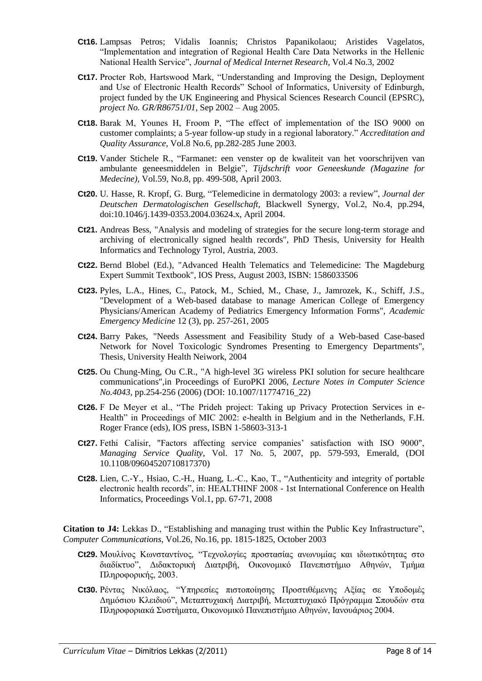- **Ct16.** Lampsas Petros; Vidalis Ioannis; Christos Papanikolaou; Aristides Vagelatos, ―Implementation and integration of Regional Health Care Data Networks in the Hellenic National Health Service", *Journal of Medical Internet Research*, Vol.4 No.3, 2002
- **Ct17.** Procter Rob, Hartswood Mark, "Understanding and Improving the Design, Deployment and Use of Electronic Health Records" School of Informatics, University of Edinburgh, project funded by the UK Engineering and Physical Sciences Research Council (EPSRC), *project No. GR/R86751/01*, Sep 2002 – Aug 2005.
- **Ct18.** Barak M, Younes H, Froom P, "The effect of implementation of the ISO 9000 on customer complaints; a 5-year follow-up study in a regional laboratory." Accreditation and *Quality Assurance*, Vol.8 No.6, pp.282-285 June 2003.
- **Ct19.** Vander Stichele R., "Farmanet: een venster op de kwaliteit van het voorschrijven van ambulante geneesmiddelen in Belgie‖, *Tijdschrift voor Geneeskunde (Magazine for Medecine),* Vol.59, No.8, pp. 499-508, April 2003.
- Ct20. U. Hasse, R. Kropf, G. Burg, "Telemedicine in dermatology 2003: a review", *Journal der Deutschen Dermatologischen Gesellschaft*, Blackwell Synergy, Vol.2, No.4, pp.294, doi:10.1046/j.1439-0353.2004.03624.x, April 2004.
- **Ct21.** Andreas Bess, "Analysis and modeling of strategies for the secure long-term storage and archiving of electronically signed health records", PhD Thesis, University for Health Informatics and Technology Tyrol, Austria, 2003.
- **Ct22.** Bernd Blobel (Ed.), "Advanced Health Telematics and Telemedicine: The Magdeburg Expert Summit Textbook", IOS Press, August 2003, ISBN: 1586033506
- **Ct23.** Pyles, L.A., Hines, C., Patock, M., Schied, M., Chase, J., Jamrozek, K., Schiff, J.S., "Development of a Web-based database to manage American College of Emergency Physicians/American Academy of Pediatrics Emergency Information Forms", *Academic Emergency Medicine* 12 (3), pp. 257-261, 2005
- **Ct24.** Barry Pakes, "Needs Assessment and Feasibility Study of a Web-based Case-based Network for Novel Toxicologic Syndromes Presenting to Emergency Departments", Thesis, University Health Neiwork, 2004
- **Ct25.** Ou Chung-Ming, Ou C.R., "A high-level 3G wireless PKI solution for secure healthcare communications",in Proceedings of EuroPKI 2006, *Lecture Notes in Computer Science No.4043*, pp.254-256 (2006) (DOI: 10.1007/11774716\_22)
- **Ct26.** F De Meyer et al., "The Prideh project: Taking up Privacy Protection Services in e-Health" in Proceedings of MIC 2002: e-health in Belgium and in the Netherlands, F.H. Roger France (eds), IOS press, ISBN 1-58603-313-1
- **Ct27.** Fethi Calisir, "Factors affecting service companies' satisfaction with ISO 9000", *Managing Service Quality*, Vol. 17 No. 5, 2007, pp. 579-593, Emerald, (DOI 10.1108/09604520710817370)
- **Ct28.** Lien, C.-Y., Hsiao, C.-H., Huang, L.-C., Kao, T., "Authenticity and integrity of portable electronic health records‖, in: HEALTHINF 2008 - 1st International Conference on Health Informatics, Proceedings Vol.1, pp. 67-71, 2008

**Citation to J4:** Lekkas D., "Establishing and managing trust within the Public Key Infrastructure", *Computer Communications*, Vol.26, No.16, pp. 1815-1825, October 2003

- Ct29. Μουλίνος Κωνσταντίνος, "Τεχνολογίες προστασίας ανωνυμίας και ιδιωτικότητας στο διαδίκτυο", Διδακτορική Διατριβή, Οικονομικό Πανεπιστήμιο Αθηνών, Τμήμα Πληροφορικής, 2003.
- Ct30. Ρέντας Νικόλαος, "Υπηρεσίες πιστοποίησης Προστιθέμενης Αξίας σε Υποδομές Δημόσιου Κλειδιού", Μεταπτυχιακή Διατριβή, Μεταπτυχιακό Πρόγραμμα Σπουδών στα Πληροφοριακά Συστήματα, Οικονομικό Πανεπιστήμιο Αθηνών, Ιανουάριος 2004.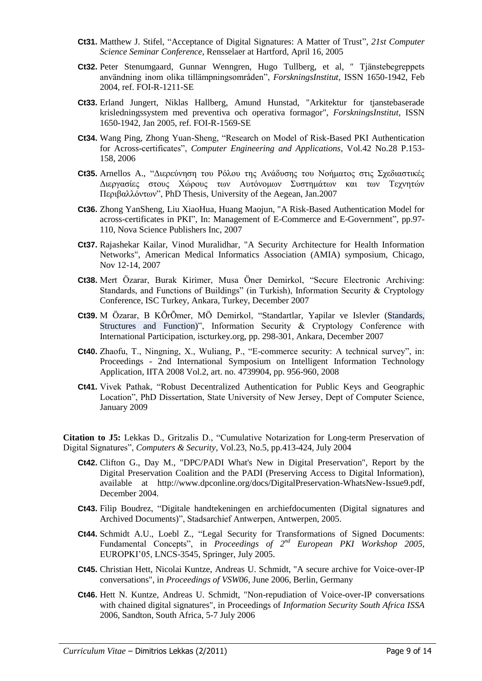- **Ct31.** Matthew J. Stifel, "Acceptance of Digital Signatures: A Matter of Trust", 21st Computer *Science Seminar Conference*, Rensselaer at Hartford, April 16, 2005
- **Ct32.** Peter Stenumgaard, Gunnar Wenngren, Hugo Tullberg, et al, " Tjänstebegreppets användning inom olika tillämpningsområden‖, *ForskningsInstitut*, ISSN 1650-1942, Feb 2004, ref. FOI-R-1211-SE
- **Ct33.** Erland Jungert, Niklas Hallberg, Amund Hunstad, "Arkitektur for tjanstebaserade krisledningssystem med preventiva och operativa formagor", *ForskningsInstitut*, ISSN 1650-1942, Jan 2005, ref. FOI-R-1569-SE
- **Ct34.** Wang Ping, Zhong Yuan-Sheng, "Research on Model of Risk-Based PKI Authentication for Across-certificates", *Computer Engineering and Applications*, Vol.42 No.28 P.153-158, 2006
- **Ct35.** Arnellos A., "Διερεύνηση του Ρόλου της Ανάδυσης του Νοήματος στις Σχεδιαστικές Διεργασίες στους Χώρους των Αυτόνομων Συστημάτων και των Τεχνητών Περιβαλλόντων", PhD Thesis, University of the Aegean, Jan.2007
- **Ct36.** Zhong YanSheng, Liu XiaoHua, Huang Maojun, "A Risk-Based Authentication Model for across-certificates in PKI", In: Management of E-Commerce and E-Government", pp.97-110, Nova Science Publishers Inc, 2007
- **Ct37.** Rajashekar Kailar, Vinod Muralidhar, "A Security Architecture for Health Information Networks", American Medical Informatics Association (AMIA) symposium, Chicago, Nov 12-14, 2007
- **Ct38.** Mert Özarar, Burak Kirimer, Musa Öner Demirkol, "Secure Electronic Archiving: Standards, and Functions of Buildings" (in Turkish), Information Security & Cryptology Conference, ISC Turkey, Ankara, Turkey, December 2007
- Ct39. M Özarar, B KÕrÕmer, MÖ Demirkol, "Standartlar, Yapilar ve Islevler (Standards, Structures and Function)", Information Security  $\&$  Cryptology Conference with International Participation, iscturkey.org, pp. 298-301, Ankara, December 2007
- **Ct40.** Zhaofu, T., Ningning, X., Wuliang, P., "E-commerce security: A technical survey", in: Proceedings - 2nd International Symposium on Intelligent Information Technology Application, IITA 2008 Vol.2, art. no. 4739904, pp. 956-960, 2008
- **Ct41.** Vivek Pathak, "Robust Decentralized Authentication for Public Keys and Geographic Location", PhD Dissertation, State University of New Jersey, Dept of Computer Science, January 2009

Citation to J5: Lekkas D., Gritzalis D., "Cumulative Notarization for Long-term Preservation of Digital Signatures", *Computers & Security*, Vol.23, No.5, pp.413-424, July 2004

- **Ct42.** Clifton G., Day M., "DPC/PADI What's New in Digital Preservation", Report by the Digital Preservation Coalition and the PADI (Preserving Access to Digital Information), available at http://www.dpconline.org/docs/DigitalPreservation-WhatsNew-Issue9.pdf, December 2004.
- **Ct43.** Filip Boudrez, "Digitale handtekeningen en archiefdocumenten (Digital signatures and Archived Documents)", Stadsarchief Antwerpen, Antwerpen, 2005.
- Ct44. Schmidt A.U., Loebl Z., "Legal Security for Transformations of Signed Documents: Fundamental Concepts", in *Proceedings of*  $2^{nd}$  *European PKI Workshop 2005*, EUROPKI'05, LNCS-3545, Springer, July 2005.
- **Ct45.** Christian Hett, Nicolai Kuntze, Andreas U. Schmidt, "A secure archive for Voice-over-IP conversations", in *Proceedings of VSW06*, June 2006, Berlin, Germany
- **Ct46.** Hett N. Kuntze, Andreas U. Schmidt, "Non-repudiation of Voice-over-IP conversations with chained digital signatures", in Proceedings of *Information Security South Africa ISSA* 2006, Sandton, South Africa, 5-7 July 2006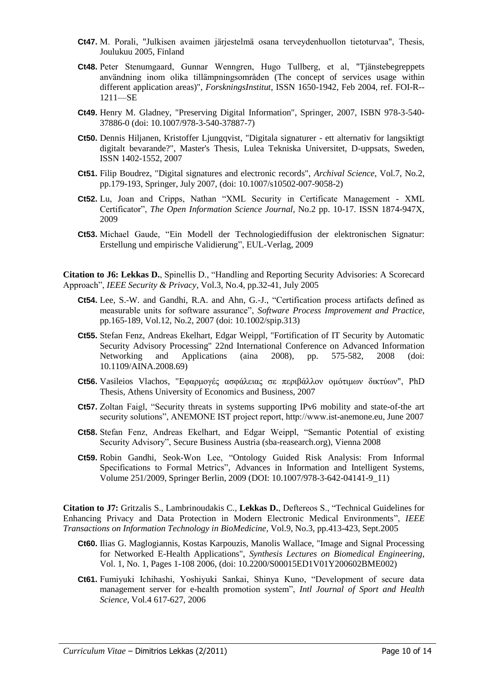- **Ct47.** M. Porali, "Julkisen avaimen järjestelmä osana terveydenhuollon tietoturvaa", Thesis, Joulukuu 2005, Finland
- **Ct48.** Peter Stenumgaard, Gunnar Wenngren, Hugo Tullberg, et al, "Tjänstebegreppets användning inom olika tillämpningsområden (The concept of services usage within different application areas)", *ForskningsInstitut*, ISSN 1650-1942, Feb 2004, ref. FOI-R-- 1211—SE
- **Ct49.** Henry M. Gladney, "Preserving Digital Information", Springer, 2007, ISBN 978-3-540- 37886-0 (doi: 10.1007/978-3-540-37887-7)
- **Ct50.** Dennis Hiljanen, Kristoffer Ljungqvist, "Digitala signaturer ett alternativ for langsiktigt digitalt bevarande?", Master's Thesis, Lulea Tekniska Universitet, D-uppsats, Sweden, ISSN 1402-1552, 2007
- **Ct51.** Filip Boudrez, "Digital signatures and electronic records", *Archival Science*, Vol.7, No.2, pp.179-193, Springer, July 2007, (doi: 10.1007/s10502-007-9058-2)
- **Ct52.** Lu, Joan and Cripps, Nathan "XML Security in Certificate Management XML Certificator‖, *The Open Information Science Journal*, No.2 pp. 10-17. ISSN 1874-947X, 2009
- Ct53. Michael Gaude, "Ein Modell der Technologiediffusion der elektronischen Signatur: Erstellung und empirische Validierung", EUL-Verlag, 2009

**Citation to J6: Lekkas D.**, Spinellis D., "Handling and Reporting Security Advisories: A Scorecard Approach‖, *IEEE Security & Privacy*, Vol.3, No.4, pp.32-41, July 2005

- **Ct54.** Lee, S.-W. and Gandhi, R.A. and Ahn, G.-J., "Certification process artifacts defined as measurable units for software assurance", *Software Process Improvement and Practice*, pp.165-189, Vol.12, No.2, 2007 (doi: 10.1002/spip.313)
- **Ct55.** Stefan Fenz, Andreas Ekelhart, Edgar Weippl, "Fortification of IT Security by Automatic Security Advisory Processing" 22nd International Conference on Advanced Information Networking and Applications (aina 2008), pp. 575-582, 2008 (doi: 10.1109/AINA.2008.69)
- Ct56. Vasileios Vlachos, "Εφαρμογές ασφάλειας σε περιβάλλον ομότιμων δικτύων", PhD Thesis, Athens University of Economics and Business, 2007
- **Ct57.** Zoltan Faigl, "Security threats in systems supporting IPv6 mobility and state-of-the art security solutions", ANEMONE IST project report, http://www.ist-anemone.eu, June 2007
- **Ct58.** Stefan Fenz, Andreas Ekelhart, and Edgar Weippl, "Semantic Potential of existing Security Advisory", Secure Business Austria (sba-reasearch.org), Vienna 2008
- **Ct59.** Robin Gandhi, Seok-Won Lee, "Ontology Guided Risk Analysis: From Informal Specifications to Formal Metrics", Advances in Information and Intelligent Systems, Volume 251/2009, Springer Berlin, 2009 (DOI: 10.1007/978-3-642-04141-9\_11)

Citation to J7: Gritzalis S., Lambrinoudakis C., Lekkas D., Deftereos S., "Technical Guidelines for Enhancing Privacy and Data Protection in Modern Electronic Medical Environments‖, *IEEE Transactions on Information Technology in BioMedicine*, Vol.9, No.3, pp.413-423, Sept.2005

- **Ct60.** Ilias G. Maglogiannis, Kostas Karpouzis, Manolis Wallace, "Image and Signal Processing for Networked E-Health Applications", *Synthesis Lectures on Biomedical Engineering*, Vol. 1, No. 1, Pages 1-108 2006, (doi: 10.2200/S00015ED1V01Y200602BME002)
- Ct61. Fumiyuki Ichihashi, Yoshiyuki Sankai, Shinya Kuno, "Development of secure data management server for e-health promotion system", *Intl Journal of Sport and Health Science,* Vol.4 617-627, 2006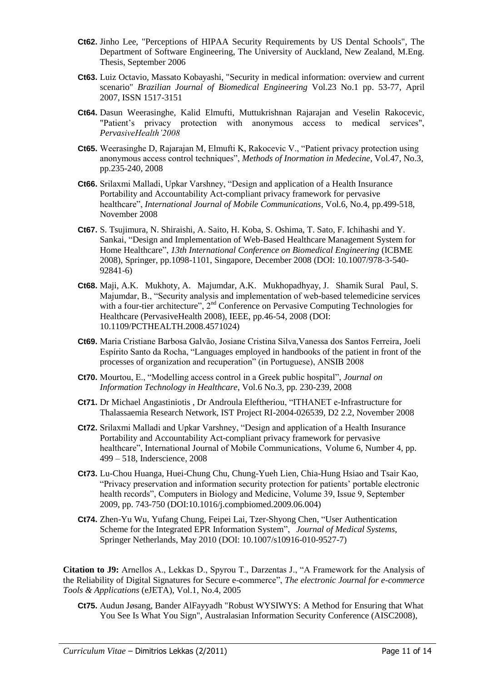- **Ct62.** Jinho Lee, "Perceptions of HIPAA Security Requirements by US Dental Schools", The Department of Software Engineering, The University of Auckland, New Zealand, M.Eng. Thesis, September 2006
- **Ct63.** Luiz Octavio, Massato Kobayashi, "Security in medical information: overview and current scenario" *Brazilian Journal of Biomedical Engineering* Vol.23 No.1 pp. 53-77, April 2007, ISSN 1517-3151
- **Ct64.** Dasun Weerasinghe, Kalid Elmufti, Muttukrishnan Rajarajan and Veselin Rakocevic, "Patient's privacy protection with anonymous access to medical services", *PervasiveHealth"2008*
- **Ct65.** Weerasinghe D, Rajarajan M, Elmufti K, Rakocevic V., "Patient privacy protection using anonymous access control techniques", *Methods of Inormation in Medecine*, Vol.47, No.3, pp.235-240, 2008
- **Ct66.** Srilaxmi Malladi, Upkar Varshney, "Design and application of a Health Insurance Portability and Accountability Act-compliant privacy framework for pervasive healthcare", *International Journal of Mobile Communications*, Vol.6, No.4, pp.499-518, November 2008
- **Ct67.** S. Tsujimura, N. Shiraishi, A. Saito, H. Koba, S. Oshima, T. Sato, F. Ichihashi and Y. Sankai, "Design and Implementation of Web-Based Healthcare Management System for Home Healthcare", 13th International Conference on Biomedical Engineering (ICBME 2008), Springer, pp.1098-1101, Singapore, December 2008 (DOI: 10.1007/978-3-540- 92841-6)
- **Ct68.** Maji, A.K. Mukhoty, A. Majumdar, A.K. Mukhopadhyay, J. Shamik Sural Paul, S. Majumdar, B., "Security analysis and implementation of web-based telemedicine services with a four-tier architecture", 2<sup>nd</sup> Conference on Pervasive Computing Technologies for Healthcare (PervasiveHealth 2008), IEEE, pp.46-54, 2008 (DOI: 10.1109/PCTHEALTH.2008.4571024)
- **Ct69.** Maria Cristiane Barbosa Galvão, Josiane Cristina Silva,Vanessa dos Santos Ferreira, Joeli Espírito Santo da Rocha, ―Languages employed in handbooks of the patient in front of the processes of organization and recuperation" (in Portuguese), ANSIB 2008
- **Ct70.** Mourtou, E., "Modelling access control in a Greek public hospital", *Journal on Information Technology in Healthcare*, Vol.6 No.3, pp. 230-239, 2008
- **Ct71.** Dr Michael Angastiniotis, Dr Androula Eleftheriou, "ITHANET e-Infrastructure for Thalassaemia Research Network, IST Project RI-2004-026539, D2 2.2, November 2008
- **Ct72.** Srilaxmi Malladi and Upkar Varshney, "Design and application of a Health Insurance Portability and Accountability Act-compliant privacy framework for pervasive healthcare", International Journal of Mobile Communications, Volume 6, Number 4, pp. 499 – 518, Inderscience, 2008
- **Ct73.** Lu-Chou Huanga, Huei-Chung Chu, Chung-Yueh Lien, Chia-Hung Hsiao and Tsair Kao, ―Privacy preservation and information security protection for patients' portable electronic health records", Computers in Biology and Medicine, Volume 39, Issue 9, September 2009, pp. 743-750 (DOI:10.1016/j.compbiomed.2009.06.004)
- **Ct74.** Zhen-Yu Wu, Yufang Chung, Feipei Lai, Tzer-Shyong Chen, "User Authentication" Scheme for the Integrated EPR Information System", *Journal of Medical Systems*, Springer Netherlands, May 2010 (DOI: 10.1007/s10916-010-9527-7)

Citation to J9: Arnellos A., Lekkas D., Spyrou T., Darzentas J., "A Framework for the Analysis of the Reliability of Digital Signatures for Secure e-commerce‖, *The electronic Journal for e-commerce Tools & Applications* (eJETA), Vol.1, No.4, 2005

**Ct75.** Audun Jøsang, Bander AlFayyadh "Robust WYSIWYS: A Method for Ensuring that What You See Is What You Sign", Australasian Information Security Conference (AISC2008),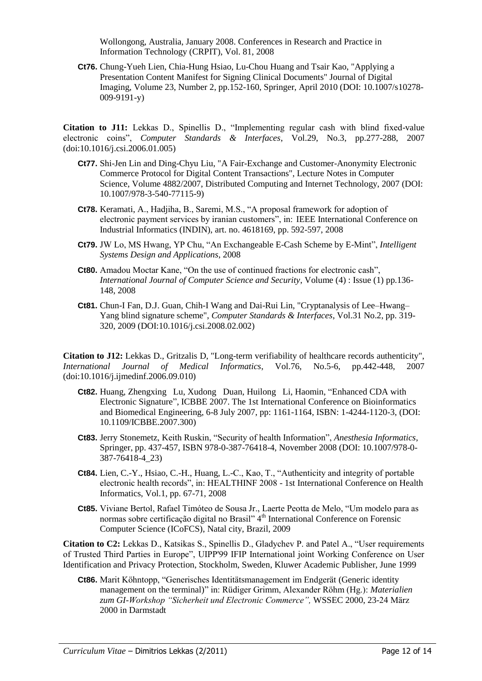Wollongong, Australia, January 2008. Conferences in Research and Practice in Information Technology (CRPIT), Vol. 81, 2008

**Ct76.** Chung-Yueh Lien, Chia-Hung Hsiao, Lu-Chou Huang and Tsair Kao, "Applying a Presentation Content Manifest for Signing Clinical Documents" Journal of Digital Imaging, Volume 23, Number 2, pp.152-160, Springer, April 2010 (DOI: 10.1007/s10278- 009-9191-y)

Citation to J11: Lekkas D., Spinellis D., "Implementing regular cash with blind fixed-value electronic coins‖, *Computer Standards & Interfaces*, Vol.29, No.3, pp.277-288, 2007 (doi:10.1016/j.csi.2006.01.005)

- **Ct77.** Shi-Jen Lin and Ding-Chyu Liu, "A Fair-Exchange and Customer-Anonymity Electronic Commerce Protocol for Digital Content Transactions", Lecture Notes in Computer Science, Volume 4882/2007, Distributed Computing and Internet Technology, 2007 (DOI: 10.1007/978-3-540-77115-9)
- **Ct78.** Keramati, A., Hadjiha, B., Saremi, M.S., "A proposal framework for adoption of electronic payment services by iranian customers", in: IEEE International Conference on Industrial Informatics (INDIN), art. no. 4618169, pp. 592-597, 2008
- **Ct79.** JW Lo, MS Hwang, YP Chu, "An Exchangeable E-Cash Scheme by E-Mint", *Intelligent Systems Design and Applications*, 2008
- **Ct80.** Amadou Moctar Kane, "On the use of continued fractions for electronic cash", *International Journal of Computer Science and Security*, Volume (4) : Issue (1) pp.136- 148, 2008
- **Ct81.** Chun-I Fan, D.J. Guan, Chih-I Wang and Dai-Rui Lin, "Cryptanalysis of Lee–Hwang– Yang blind signature scheme", *Computer Standards & Interfaces*, Vol.31 No.2, pp. 319- 320, 2009 (DOI:10.1016/j.csi.2008.02.002)

**Citation to J12:** Lekkas D., Gritzalis D, "Long-term verifiability of healthcare records authenticity", *International Journal of Medical Informatics*, Vol.76, No.5-6, pp.442-448, 2007 (doi:10.1016/j.ijmedinf.2006.09.010)

- **Ct82.** Huang, Zhengxing Lu, Xudong Duan, Huilong Li, Haomin, "Enhanced CDA with Electronic Signature", ICBBE 2007. The 1st International Conference on Bioinformatics and Biomedical Engineering, 6-8 July 2007, pp: 1161-1164, ISBN: 1-4244-1120-3, (DOI: 10.1109/ICBBE.2007.300)
- Ct83. Jerry Stonemetz, Keith Ruskin, "Security of health Information", *Anesthesia Informatics*, Springer, pp. 437-457, ISBN 978-0-387-76418-4, November 2008 (DOI: 10.1007/978-0- 387-76418-4\_23)
- **Ct84.** Lien, C.-Y., Hsiao, C.-H., Huang, L.-C., Kao, T., "Authenticity and integrity of portable electronic health records‖, in: HEALTHINF 2008 - 1st International Conference on Health Informatics, Vol.1, pp. 67-71, 2008
- Ct85. Viviane Bertol, Rafael Timóteo de Sousa Jr., Laerte Peotta de Melo, "Um modelo para as normas sobre certificação digital no Brasil" 4<sup>th</sup> International Conference on Forensic Computer Science (ICoFCS), Natal city, Brazil, 2009

**Citation to C2:** Lekkas D., Katsikas S., Spinellis D., Gladychev P. and Patel A., "User requirements of Trusted Third Parties in Europe", UIPP'99 IFIP International joint Working Conference on User Identification and Privacy Protection, Stockholm, Sweden, Kluwer Academic Publisher, June 1999

**Ct86.** Marit Köhntopp, "Generisches Identitätsmanagement im Endgerät (Generic identity management on the terminal)" in: Rüdiger Grimm, Alexander Röhm (Hg.): *Materialien zum GI-Workshop "Sicherheit und Electronic Commerce",* WSSEC 2000, 23-24 März 2000 in Darmstadt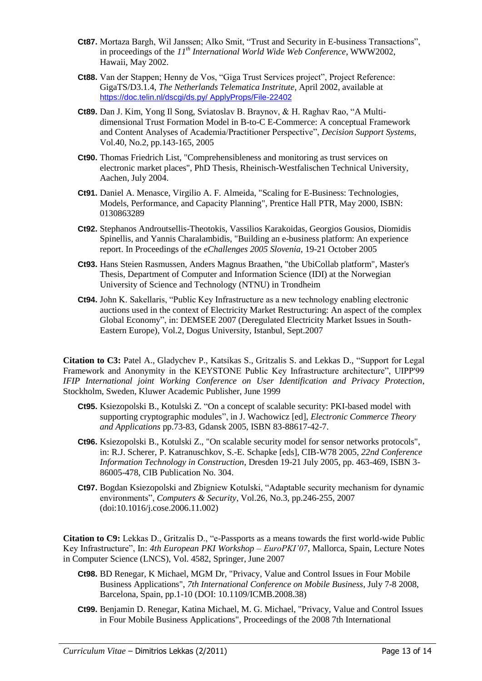- **Ct87.** Mortaza Bargh, Wil Janssen; Alko Smit, "Trust and Security in E-business Transactions", in proceedings of the *11th International World Wide Web Conference*, WWW2002, Hawaii, May 2002.
- **Ct88.** Van der Stappen; Henny de Vos, "Giga Trust Services project", Project Reference: GigaTS/D3.1.4, *The Netherlands Telematica Instritute,* April 2002, available at [https://doc.telin.nl/dscgi/ds.py/ ApplyProps/File-22402](https://doc.telin.nl/dscgi/ds.py/%20ApplyProps/File-22402)
- Ct89. Dan J. Kim, Yong Il Song, Sviatoslav B. Braynov, & H. Raghav Rao, "A Multidimensional Trust Formation Model in B-to-C E-Commerce: A conceptual Framework and Content Analyses of Academia/Practitioner Perspective", *Decision Support Systems*, Vol.40, No.2, pp.143-165, 2005
- **Ct90.** Thomas Friedrich List, "Comprehensibleness and monitoring as trust services on electronic market places", PhD Thesis, Rheinisch-Westfalischen Technical University, Aachen, July 2004.
- **Ct91.** Daniel A. Menasce, Virgilio A. F. Almeida, "Scaling for E-Business: Technologies, Models, Performance, and Capacity Planning", Prentice Hall PTR, May 2000, ISBN: 0130863289
- **Ct92.** Stephanos Androutsellis-Theotokis, Vassilios Karakoidas, Georgios Gousios, Diomidis Spinellis, and Yannis Charalambidis, "Building an e-business platform: An experience report. In Proceedings of the *eChallenges 2005 Slovenia*, 19-21 October 2005
- **Ct93.** Hans Steien Rasmussen, Anders Magnus Braathen, "the UbiCollab platform", Master's Thesis, Department of Computer and Information Science (IDI) at the Norwegian University of Science and Technology (NTNU) in Trondheim
- **Ct94.** John K. Sakellaris, "Public Key Infrastructure as a new technology enabling electronic auctions used in the context of Electricity Market Restructuring: An aspect of the complex Global Economy", in: DEMSEE 2007 (Deregulated Electricity Market Issues in South-Eastern Europe), Vol.2, Dogus University, Istanbul, Sept.2007

**Citation to C3:** Patel A., Gladychev P., Katsikas S., Gritzalis S. and Lekkas D., "Support for Legal Framework and Anonymity in the KEYSTONE Public Key Infrastructure architecture", UIPP'99 *IFIP International joint Working Conference on User Identification and Privacy Protection*, Stockholm, Sweden, Kluwer Academic Publisher, June 1999

- **Ct95.** Ksiezopolski B., Kotulski Z. "On a concept of scalable security: PKI-based model with supporting cryptographic modules", in J. Wachowicz [ed], *Electronic Commerce Theory and Applications* pp.73-83, Gdansk 2005, ISBN 83-88617-42-7.
- **Ct96.** Ksiezopolski B., Kotulski Z., "On scalable security model for sensor networks protocols", in: R.J. Scherer, P. Katranuschkov, S.-E. Schapke [eds], CIB-W78 2005, *22nd Conference Information Technology in Construction*, Dresden 19-21 July 2005, pp. 463-469, ISBN 3- 86005-478, CIB Publication No. 304.
- **Ct97.** Bogdan Ksiezopolski and Zbigniew Kotulski, "Adaptable security mechanism for dynamic environments‖, *Computers & Security*, Vol.26, No.3, pp.246-255, 2007 (doi:10.1016/j.cose.2006.11.002)

**Citation to C9:** Lekkas D., Gritzalis D., "e-Passports as a means towards the first world-wide Public Key Infrastructure", In: 4th European PKI Workshop – *EuroPKI'07*, Mallorca, Spain, Lecture Notes in Computer Science (LNCS), Vol. 4582, Springer, June 2007

- **Ct98.** BD Renegar, K Michael, MGM Dr, "Privacy, Value and Control Issues in Four Mobile Business Applications", *7th International Conference on Mobile Business*, July 7-8 2008, Barcelona, Spain, pp.1-10 (DOI: 10.1109/ICMB.2008.38)
- **Ct99.** Benjamin D. Renegar, Katina Michael, M. G. Michael, "Privacy, Value and Control Issues in Four Mobile Business Applications", Proceedings of the 2008 7th International